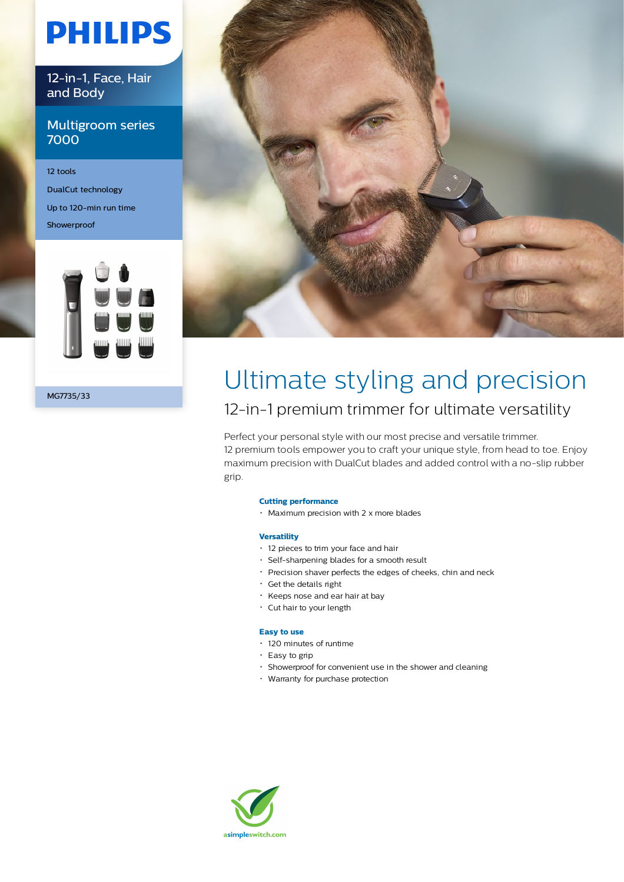# **PHILIPS**

12-in-1, Face, Hair and Body

Multigroom series 7000

12 tools DualCut technology Up to 120-min run time **Showerproof** 





MG7735/33

### Ultimate styling and precision 12-in-1 premium trimmer for ultimate versatility

Perfect your personal style with our most precise and versatile trimmer. 12 premium tools empower you to craft your unique style, from head to toe. Enjoy maximum precision with DualCut blades and added control with a no-slip rubber grip.

#### **Cutting performance**

Maximum precision with 2 x more blades

#### **Versatility**

- 12 pieces to trim your face and hair
- Self-sharpening blades for a smooth result
- Precision shaver perfects the edges of cheeks, chin and neck
- Get the details right
- Keeps nose and ear hair at bay
- Cut hair to your length

#### **Easy to use**

- 120 minutes of runtime
- Easy to grip
- Showerproof for convenient use in the shower and cleaning
- Warranty for purchase protection

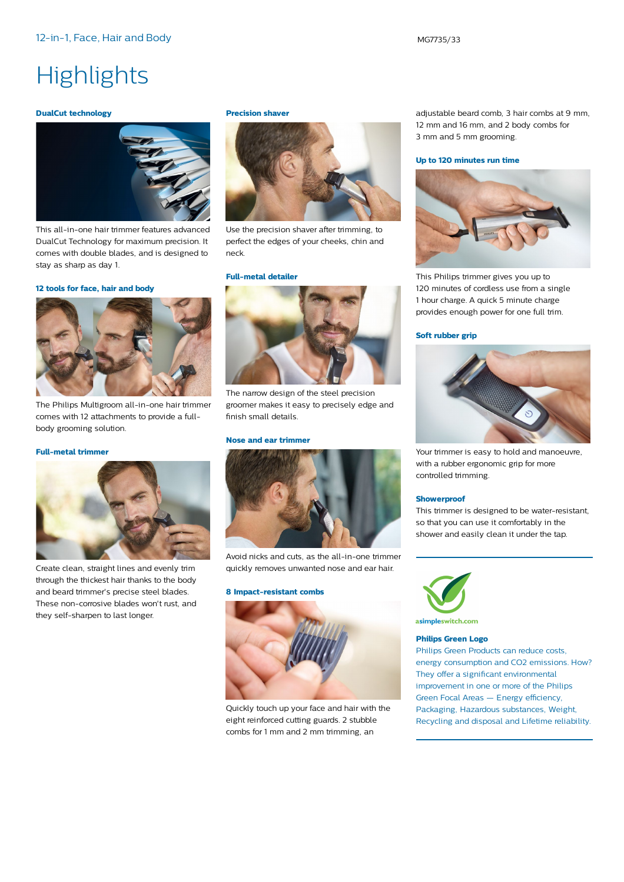## **Highlights**

#### **DualCut technology**



This all-in-one hair trimmer features advanced DualCut Technology for maximum precision. It comes with double blades, and is designed to stay as sharp as day 1.

#### **12 tools for face, hair and body**



The Philips Multigroom all-in-one hair trimmer comes with 12 attachments to provide a fullbody grooming solution.

#### **Full-metal trimmer**



Create clean, straight lines and evenly trim through the thickest hair thanks to the body and beard trimmer's precise steel blades. These non-corrosive blades won't rust, and they self-sharpen to last longer.

#### **Precision shaver**



Use the precision shaver after trimming, to perfect the edges of your cheeks, chin and neck.

#### **Full-metal detailer**



The narrow design of the steel precision groomer makes it easy to precisely edge and finish small details.

#### **Nose and ear trimmer**



Avoid nicks and cuts, as the all-in-one trimmer quickly removes unwanted nose and ear hair.

#### **8 Impact-resistant combs**



Quickly touch up your face and hair with the eight reinforced cutting guards. 2 stubble combs for 1 mm and 2 mm trimming, an

adjustable beard comb, 3 hair combs at 9 mm, 12 mm and 16 mm, and 2 body combs for 3 mm and 5 mm grooming.

#### **Up to 120 minutes run time**



This Philips trimmer gives you up to 120 minutes of cordless use from a single 1 hour charge. A quick 5 minute charge provides enough power for one full trim.

#### **Soft rubber grip**



Your trimmer is easy to hold and manoeuvre, with a rubber ergonomic grip for more controlled trimming.

#### **Showerproof**

This trimmer is designed to be water-resistant, so that you can use it comfortably in the shower and easily clean it under the tap.



asimpleswitch.com

#### **Philips Green Logo**

Philips Green Products can reduce costs, energy consumption and CO2 emissions. How? They offer a significant environmental improvement in one or more of the Philips Green Focal Areas — Energy efficiency, Packaging, Hazardous substances, Weight, Recycling and disposal and Lifetime reliability.